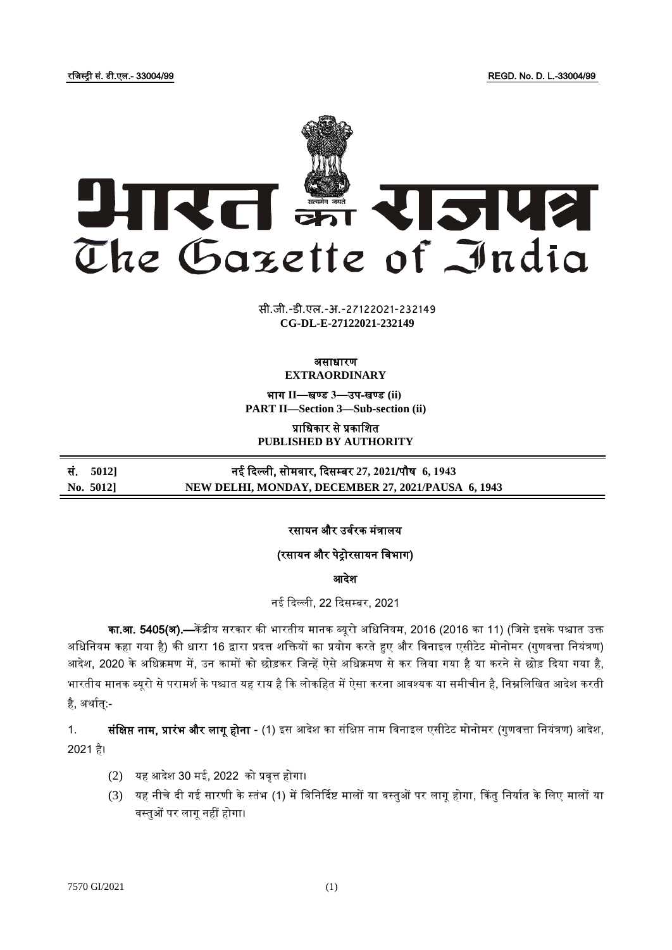रजजस्ट्री सं. डी.एल.- 33004/99 REGD. No. D. L.-33004/99



xxxx <del>di di i</del><br>XXXXXXXXXXXXXX **xxx**GIDE**xxx CG-DL-E-27122021-232149**सी.जी.-डी.एल.-अ.-27122021-232149

#### असाधारण **EXTRAORDINARY**

भाग **II**—खण् ड **3**—उप-खण् ड **(ii) PART II—Section 3—Sub-section (ii)**

प्राजधकार से प्रकाजित **PUBLISHED BY AUTHORITY**

सं. **5012]** नई ददल्ली, सोमर्ार, ददसम् बर **27, 2021**/पौष **6, 1943 No. 5012] NEW DELHI, MONDAY, DECEMBER 27, 2021/PAUSA 6, 1943**

## रसायन और उर्वरक मंत्रालय

## (रसायन और पेट्रोरसायन विभाग)

आदेश

नई दिल्ली, 22 दिसम्बर, 2021

का.<mark>आ. 5405(अ).—</mark>केंद्रीय सरकार की भारतीय मानक ब्यूरो अधिनियम, 2016 (2016 का 11) (जिसे इसके पश्चात उक्त अधिनियम कहा गया है) की धारा 16 द्वारा प्रदत्त शक्तियों का प्रयोग करते हुए और विनाइल एसीटेट मोनोमर (गुणवत्ता नियंत्रण) आदेश, 2020 के अधिक्रमण में, उन कामों को छोड़कर जिन्हें ऐसे अधिक्रमण से कर लिया गया है या करने से छोड़ दिया गया है, भारतीय मानक ब्यूरो से परामर्श के पश्चात यह राय है कि लोकहित में ऐसा करना आवश्यक या समीचीन है, निम्नलिखित आदेश करती है, अर्थात:-

1. सं**क्षिप्त नाम, प्रारंभ और लागू होना** - (1) इस आदेश का संक्षिप्त नाम विनाइल एसीटेट मोनोमर (गुणवत्ता नियंत्रण) आदेश, 2021 है।

- $(2)$  यह आदेश 30 मई, 2022 को प्रवृत्त होगा।
- (3) यह नीचे दी गई सारणी के स्तंभ (1) में विनिर्दिष्ट मालों या वस्तुओं पर लागू होगा, किंतु निर्यात के लिए मालों या र्स्ट्तुओं पर लागू नहीं होगा।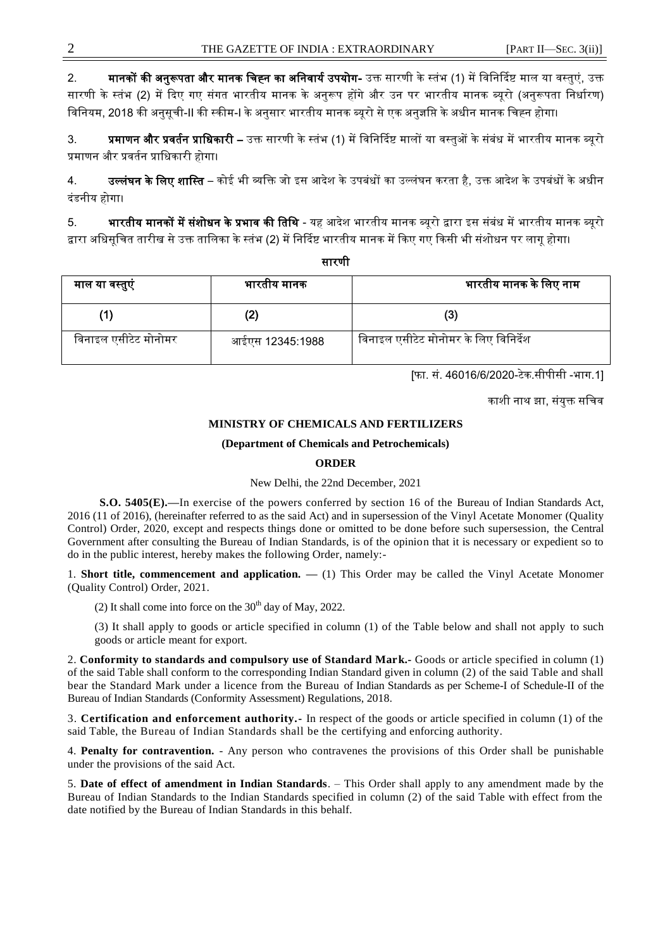2. **मानकों की अनुरूपता और मानक चिह्न का अनिवार्य उपयोग-** उक्त सारणी के स्तंभ (1) में विनिर्दिष्ट माल या वस्तुएं, उक्त सारणी के स्तंभ (2) में दिए गए संगत भारतीय मानक के अनुरूप होंगे और उन पर भारतीय मानक ब्यूरो (अनुरूपता निर्धारण) जर्जनयम, 2018 की अनुसूची-II की स्ट्कीम-I केअनुसार भारतीय मानक ब्यूरो सेएक अनुज्ञजप्त केअधीन मानक जचह्न होगा।

3. **प्रमाणन और प्रवर्तन प्राधिकारी –** उक्त सारणी के स्तंभ (1) में विनिर्दिष्ट मालों या वस्तओं के संबंध में भारतीय मानक ब्यरो प्रमाणन और प्रर्तवन प्राजधकारी होगा।

4. **उल्लंघन के लिए शास्ति** – कोई भी व्यक्ति जो इस आदेश के उपबंधों का उल्लंघन करता है, उक्त आदेश के उपबंधों के अधीन दंडनीय होगा।

5. **भारतीय मानकों में संशोधन के प्रभाव की तिथि** - यह आदेश भारतीय मानक ब्यूरो द्वारा इस संबंध में भारतीय मानक ब्यूरो द्वारा अधिसूचित तारीख से उक्त तालिका के स्तंभ (2) में निर्दिष्ट भारतीय मानक में किए गए किसी भी संशोधन पर लागू होगा।

सारणी

| माल या वस्तुएं       | भारतीय मानक     | भारतीय मानक के लिए नाम                |
|----------------------|-----------------|---------------------------------------|
|                      | (2)             |                                       |
| विनाइल एसीटेट मोनोमर | आईएस 12345:1988 | विनाइल एसीटेट मोनोमर के लिए विनिर्देश |

[फा. सं. 46016/6/2020-टेक.सीपीसी -भाग.1]

काशी नाथ झा, संयुक्त सचिव

### **MINISTRY OF CHEMICALS AND FERTILIZERS**

### **(Department of Chemicals and Petrochemicals)**

### **ORDER**

### New Delhi, the 22nd December, 2021

**S.O. 5405(E).—**In exercise of the powers conferred by section 16 of the Bureau of Indian Standards Act, 2016 (11 of 2016), (hereinafter referred to as the said Act) and in supersession of the Vinyl Acetate Monomer (Quality Control) Order, 2020, except and respects things done or omitted to be done before such supersession, the Central Government after consulting the Bureau of Indian Standards, is of the opinion that it is necessary or expedient so to do in the public interest, hereby makes the following Order, namely:-

1. **Short title, commencement and application.**  $- (1)$  **This Order may be called the Vinyl Acetate Monomer** (Quality Control) Order, 2021.

(2) It shall come into force on the  $30<sup>th</sup>$  day of May, 2022.

(3) It shall apply to goods or article specified in column (1) of the Table below and shall not apply to such goods or article meant for export.

2. **Conformity to standards and compulsory use of Standard Mark.-** Goods or article specified in column (1) of the said Table shall conform to the corresponding Indian Standard given in column (2) of the said Table and shall bear the Standard Mark under a licence from the Bureau of Indian Standards as per Scheme-I of Schedule-II of the Bureau of Indian Standards (Conformity Assessment) Regulations, 2018.

3. **Certification and enforcement authority.-** In respect of the goods or article specified in column (1) of the said Table, the Bureau of Indian Standards shall be the certifying and enforcing authority.

4. **Penalty for contravention.** - Any person who contravenes the provisions of this Order shall be punishable under the provisions of the said Act.

5. **Date of effect of amendment in Indian Standards**. – This Order shall apply to any amendment made by the Bureau of Indian Standards to the Indian Standards specified in column (2) of the said Table with effect from the date notified by the Bureau of Indian Standards in this behalf.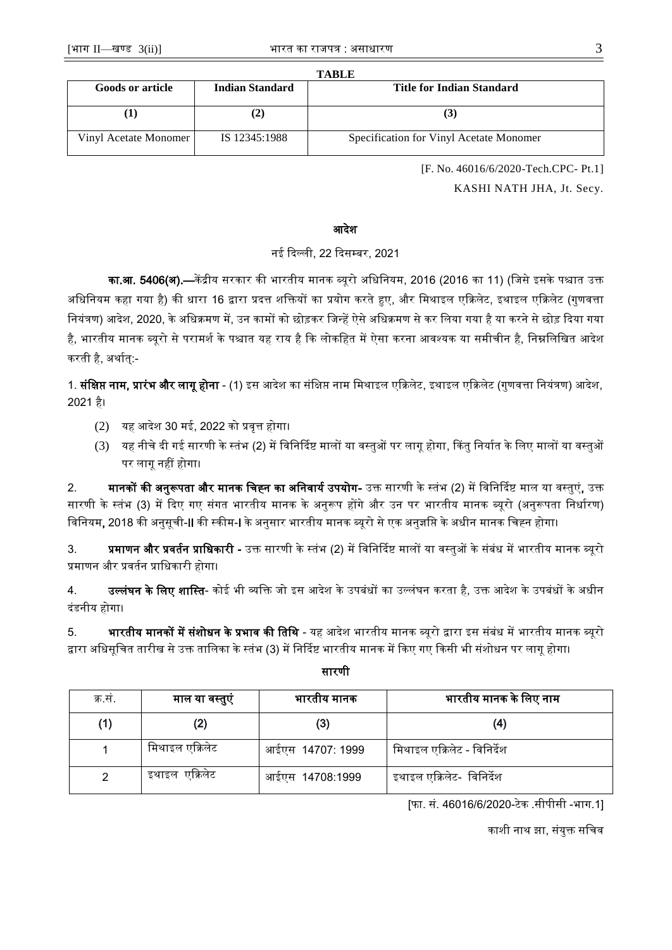| <b>TABLE</b>            |                 |                                         |  |  |  |
|-------------------------|-----------------|-----------------------------------------|--|--|--|
| <b>Goods or article</b> | Indian Standard | Title for Indian Standard               |  |  |  |
|                         |                 |                                         |  |  |  |
|                         |                 |                                         |  |  |  |
|                         |                 |                                         |  |  |  |
| Vinyl Acetate Monomer   | IS 12345:1988   | Specification for Vinyl Acetate Monomer |  |  |  |
|                         |                 |                                         |  |  |  |

[F. No. 46016/6/2020-Tech.CPC- Pt.1]

KASHI NATH JHA, Jt. Secy.

### आदेश

# नई दिल्ली. 22 दिसम्बर, 2021

का.<mark>आ. 5406(अ).—</mark>केंद्रीय सरकार की भारतीय मानक ब्यूरो अधिनियम, 2016 (2016 का 11) (जिसे इसके पश्चात उक्त अधिनियम कहा गया है) की धारा 16 द्वारा प्रदत्त शक्तियों का प्रयोग करते हुए, और मिथाइल एक्रिलेट, इथाइल एक्रिलेट (गुणवत्ता नियंत्रण) आदेश, 2020, के अधिक्रमण में, उन कामों को छोड़कर जिन्हें ऐसे अधिक्रमण से कर लिया गया है या करने से छोड़ दिया गया है, भारतीय मानक ब्यूरो से परामर्श के पश्चात यह राय है कि लोकहित में ऐसा करना आवश्यक या समीचीन है, निम्नलिखित आदेश करती है, अर्थात्:-

1. **संक्षिप्त नाम, प्रारंभ और लागू होना** - (1) इस आदेश का संक्षिप्त नाम मिथाइल एक्रिलेट, इथाइल एक्रिलेट (गुणवत्ता नियंत्रण) आदेश, 2021 है।

- $(2)$  यह आदेश 30 मई, 2022 को प्रवृत्त होगा।
- (3) यह नीचे दी गई सारणी के स्तंभ (2) में विनिर्दिष्ट मालों या वस्तुओं पर लागू होगा, किंतु निर्यात के लिए मालों या वस्तुओं पर लागू नहीं होगा।

2. **मानकों की अनुरूपता और मानक चिह्न का अनिवार्य उपयोग-** उक्त सारणी के स्तंभ (2) में विनिर्दिष्ट माल या वस्तुएं, उक्त सारणी के स्तंभ (3) में दिए गए संगत भारतीय मानक के अनुरूप होंगे और उन पर भारतीय मानक ब्यूरो (अनुरूपता निर्धारण) जर्जनयम, 2018 की अनुसूची-II की स्ट्कीम-I केअनुसार भारतीय मानक ब्यूरो सेएक अनुज्ञजप्त केअधीन मानक जचह्न होगा।

3. प्रमाणन और प्रवर्तन प्राधिकारी - उक्त सारणी के स्तंभ (2) में विनिर्दिष्ट मालों या वस्तुओं के संबंध में भारतीय मानक ब्यूरो प्रमाणन और प्रर्तवन प्राजधकारी होगा।

4. उल्लं<mark>घन के लिए शास्ति</mark>- कोई भी व्यक्ति जो इस आदेश के उपबंधों का उल्लंघन करता है, उक्त आदेश के उपबंधों के अधीन दंडनीय होगा।

5. **भारतीय मानकों में संशोधन के प्रभाव की तिथि** - यह आदेश भारतीय मानक ब्यूरो द्वारा इस संबंध में भारतीय मानक ब्यूरो द्वारा अधिसूचित तारीख से उक्त तालिका के स्तंभ (3) में निर्दिष्ट भारतीय मानक में किए गए किसी भी संशोधन पर लागू होगा।

| क्र.स. | माल या वस्तुएं  | भारतीय मानक      | भारतीय मानक के लिए नाम      |
|--------|-----------------|------------------|-----------------------------|
| (1)    | (2)             | (3)              | (4)                         |
|        | मिथाइल एक्रिलेट | आईएस 14707: 1999 | मिथाइल एक्रिलेट - विनिर्देश |
|        | इथाइल एक्रिलेट  | आईएस 14708:1999  | इथाइल एक्रिलेट- विनिर्देश   |

## सारणी

[फा. सं. 46016/6/2020-टेक .सीपीसी -भाग.1]

काशी नाथ झा, संयुक्त सचिव